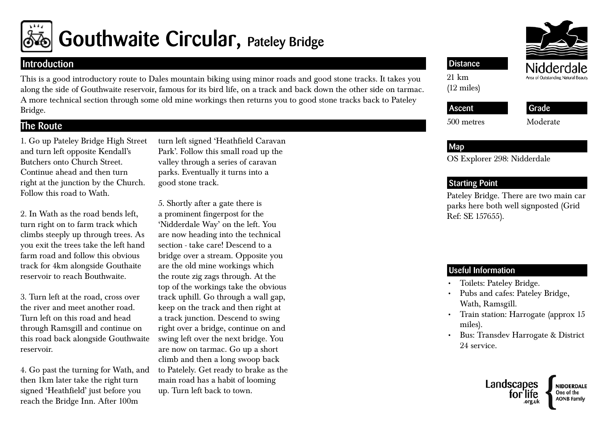

# Gouthwaite Circular, Pateley Bridge

## Introduction

This is a good introductory route to Dales mountain biking using minor roads and good stone tracks. It takes you along the side of Gouthwaite reservoir, famous for its bird life, on a track and back down the other side on tarmac. A more technical section through some old mine workings then returns you to good stone tracks back to Pateley Bridge.

# The Route

1. Go up Pateley Bridge High Street and turn left opposite Kendall's Butchers onto Church Street. Continue ahead and then turn right at the junction by the Church. Follow this road to Wath.

2. In Wath as the road bends left, turn right on to farm track which climbs steeply up through trees. As you exit the trees take the left hand farm road and follow this obvious track for 4km alongside Gouthaite reservoir to reach Bouthwaite.

3. Turn left at the road, cross over the river and meet another road. Turn left on this road and head through Ramsgill and continue on this road back alongside Gouthwaite reservoir.

4. Go past the turning for Wath, and then 1km later take the right turn signed 'Heathfield' just before you reach the Bridge Inn. After 100m

turn left signed 'Heathfield Caravan Park'. Follow this small road up the valley through a series of caravan parks. Eventually it turns into a good stone track.

5. Shortly after a gate there is a prominent fingerpost for the 'Nidderdale Way' on the left. You are now heading into the technical section - take care! Descend to a bridge over a stream. Opposite you are the old mine workings which the route zig zags through. At the top of the workings take the obvious track uphill. Go through a wall gap, keep on the track and then right at a track junction. Descend to swing right over a bridge, continue on and swing left over the next bridge. You are now on tarmac. Go up a short climb and then a long swoop back to Patelely. Get ready to brake as the main road has a habit of looming up. Turn left back to town.



### **Distance**

21 km (12 miles)

# Ascent

#### Grade

500 metres

Moderate

### Map

OS Explorer 298: Nidderdale

### Starting Point

Pateley Bridge. There are two main car parks here both well signposted (Grid Ref: SE 157655).

### Useful Information

- Toilets: Pateley Bridge.
- • Pubs and cafes: Pateley Bridge, Wath, Ramsgill.
- Train station: Harrogate (approx 15 miles).
- • Bus: Transdev Harrogate & District 24 service.